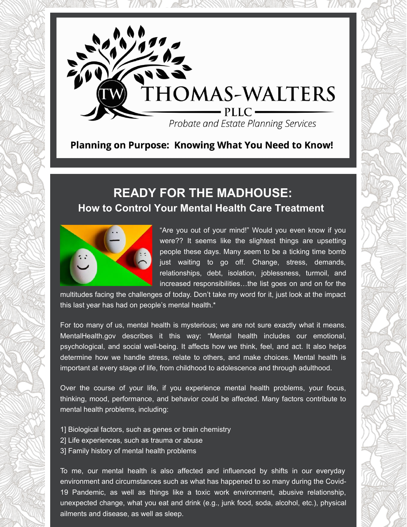

### Planning on Purpose: Knowing What You Need to Know!

# **READY FOR THE MADHOUSE: How to Control Your Mental Health Care Treatment**



"Are you out of your mind!" Would you even know if you were?? It seems like the slightest things are upsetting people these days. Many seem to be a ticking time bomb just waiting to go off. Change, stress, demands, relationships, debt, isolation, joblessness, turmoil, and increased responsibilities…the list goes on and on for the

multitudes facing the challenges of today. Don't take my word for it, just look at the impact this last year has had on people's mental health.\*

For too many of us, mental health is mysterious; we are not sure exactly what it means. MentalHealth.gov describes it this way: "Mental health includes our emotional, psychological, and social well-being. It affects how we think, feel, and act. It also helps determine how we handle stress, relate to others, and make choices. Mental health is important at every stage of life, from childhood to adolescence and through adulthood.

Over the course of your life, if you experience mental health problems, your focus, thinking, mood, performance, and behavior could be affected. Many factors contribute to mental health problems, including:

- 1] Biological factors, such as genes or brain chemistry
- 2] Life experiences, such as trauma or abuse
- 3] Family history of mental health problems

To me, our mental health is also affected and influenced by shifts in our everyday environment and circumstances such as what has happened to so many during the Covid-19 Pandemic, as well as things like a toxic work environment, abusive relationship, unexpected change, what you eat and drink (e.g., junk food, soda, alcohol, etc.), physical ailments and disease, as well as sleep.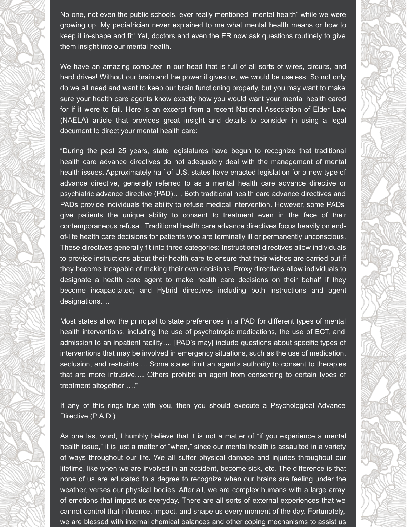No one, not even the public schools, ever really mentioned "mental health" while we were growing up. My pediatrician never explained to me what mental health means or how to keep it in-shape and fit! Yet, doctors and even the ER now ask questions routinely to give them insight into our mental health.

We have an amazing computer in our head that is full of all sorts of wires, circuits, and hard drives! Without our brain and the power it gives us, we would be useless. So not only do we all need and want to keep our brain functioning properly, but you may want to make sure your health care agents know exactly how you would want your mental health cared for if it were to fail. Here is an excerpt from a recent National Association of Elder Law (NAELA) article that provides great insight and details to consider in using a legal document to direct your mental health care:

"During the past 25 years, state legislatures have begun to recognize that traditional health care advance directives do not adequately deal with the management of mental health issues. Approximately half of U.S. states have enacted legislation for a new type of advance directive, generally referred to as a mental health care advance directive or psychiatric advance directive (PAD)…. Both traditional health care advance directives and PADs provide individuals the ability to refuse medical intervention. However, some PADs give patients the unique ability to consent to treatment even in the face of their contemporaneous refusal. Traditional health care advance directives focus heavily on endof-life health care decisions for patients who are terminally ill or permanently unconscious. These directives generally fit into three categories: Instructional directives allow individuals to provide instructions about their health care to ensure that their wishes are carried out if they become incapable of making their own decisions; Proxy directives allow individuals to designate a health care agent to make health care decisions on their behalf if they become incapacitated; and Hybrid directives including both instructions and agent designations….

Most states allow the principal to state preferences in a PAD for different types of mental health interventions, including the use of psychotropic medications, the use of ECT, and admission to an inpatient facility…. [PAD's may] include questions about specific types of interventions that may be involved in emergency situations, such as the use of medication, seclusion, and restraints…. Some states limit an agent's authority to consent to therapies that are more intrusive…. Others prohibit an agent from consenting to certain types of treatment altogether …."

If any of this rings true with you, then you should execute a Psychological Advance Directive (P.A.D.)

As one last word, I humbly believe that it is not a matter of "if you experience a mental health issue," it is just a matter of "when," since our mental health is assaulted in a variety of ways throughout our life. We all suffer physical damage and injuries throughout our lifetime, like when we are involved in an accident, become sick, etc. The difference is that none of us are educated to a degree to recognize when our brains are feeling under the weather, verses our physical bodies. After all, we are complex humans with a large array of emotions that impact us everyday. There are all sorts of external experiences that we cannot control that influence, impact, and shape us every moment of the day. Fortunately, we are blessed with internal chemical balances and other coping mechanisms to assist us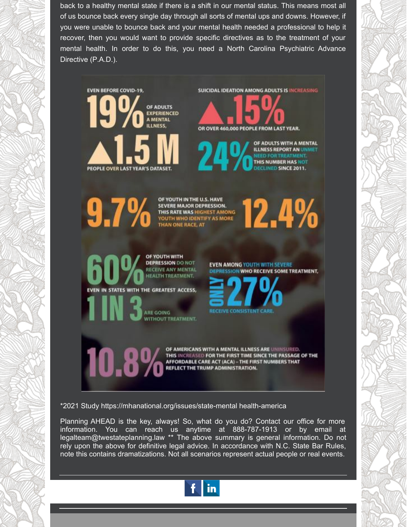back to a healthy mental state if there is a shift in our mental status. This means most all of us bounce back every single day through all sorts of mental ups and downs. However, if you were unable to bounce back and your mental health needed a professional to help it recover, then you would want to provide specific directives as to the treatment of your mental health. In order to do this, you need a North Carolina Psychiatric Advance Directive (P.A.D.).

**SUICIDAL IDEATION AMONG ADULTS IS INCREASING EVEN BEFORE COVID-19.** OF ADULTS **EXPERIENCED** A MENTAL **ILLNESS.** OR OVER 460,000 PEOPLE FROM LAST YEAR. OF ADULTS WITH A MENTAL **ILLNESS REPORT AN UNA** THIS NUMBER HAS NOT LINED SINCE 2011. PEOPLE OVER LAST YEAR'S DATASET OF YOUTH IN THE U.S. HAVE  $9.7%$ **12.4%** SEVERE MAJOR DEPRESSION. SEVERE MAJOR DEPRESSION.<br>THIS RATE WAS HIGHEST AMONG<br>YOUTH WHO IDENTIFY AS MORE<br>THAN ONE RACE, AT OF YOUTH WITH **DEPRESSION DO NOT EVEN AMONG YOUTH WITH SEVERE RECEIVE ANY MENTAL DEPRESSION WHO RECEIVE SOME TREATMENT. HEALTH TREATMENT.** EVEN IN STATES WITH THE GREATEST ACCESS, CEIVE CONSISTENT CAR ARE GOING WITHOUT TREATMENT. OF AMERICANS WITH A MENTAL ILLNESS ARE UNINSURED. THIS INCREASED FOR THE FIRST TIME SINCE THE PASSAGE OF THE AFFORDABLE CARE ACT (ACA) - THE FIRST NUMBERS THAT REFLECT THE TRUMP ADMINISTRATION.

\*2021 Study https://mhanational.org/issues/state-mental health-america

Planning AHEAD is the key, always! So, what do you do? Contact our office for more information. You can reach us anytime at 888-787-1913 or by email at legalteam@twestateplanning.law \*\* The above summary is general information. Do not rely upon the above for definitive legal advice. In accordance with N.C. State Bar Rules, note this contains dramatizations. Not all scenarios represent actual people or real events.

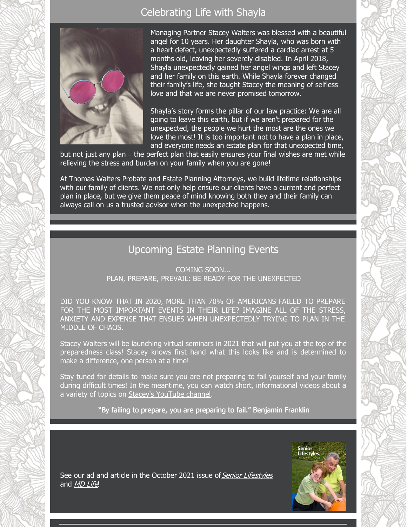#### Celebrating Life with Shayla



Managing Partner Stacey Walters was blessed with a beautiful angel for 10 years. Her daughter Shayla, who was born with a heart defect, unexpectedly suffered a cardiac arrest at 5 months old, leaving her severely disabled. In April 2018, Shayla unexpectedly gained her angel wings and left Stacey and her family on this earth. While Shayla forever changed their family's life, she taught Stacey the meaning of selfless love and that we are never promised tomorrow.

Shayla's story forms the pillar of our law practice: We are all going to leave this earth, but if we aren't prepared for the unexpected, the people we hurt the most are the ones we love the most! It is too important not to have a plan in place, and everyone needs an estate plan for that unexpected time,

but not just any plan – the perfect plan that easily ensures your final wishes are met while relieving the stress and burden on your family when you are gone!

At Thomas Walters Probate and Estate Planning Attorneys, we build lifetime relationships with our family of clients. We not only help ensure our clients have a current and perfect plan in place, but we give them peace of mind knowing both they and their family can always call on us a trusted advisor when the unexpected happens.

#### Upcoming Estate Planning Events

COMING SOON... PLAN, PREPARE, PREVAIL: BE READY FOR THE UNEXPECTED

DID YOU KNOW THAT IN 2020, MORE THAN 70% OF AMERICANS FAILED TO PREPARE FOR THE MOST IMPORTANT EVENTS IN THEIR LIFE? IMAGINE ALL OF THE STRESS, ANXIETY AND EXPENSE THAT ENSUES WHEN UNEXPECTEDLY TRYING TO PLAN IN THE MIDDLE OF CHAOS.

Stacey Walters will be launching virtual seminars in 2021 that will put you at the top of the preparedness class! Stacey knows first hand what this looks like and is determined to make a difference, one person at a time!

Stay tuned for details to make sure you are not preparing to fail yourself and your family during difficult times! In the meantime, you can watch short, informational videos about a a variety of topics on Stacey's [YouTube](https://www.youtube.com/channel/UC5CLS-YkzSQNGmF14JS-KVQ/featured) channel.

"By failing to prepare, you are preparing to fail." Benjamin Franklin



See our ad and article in the October 2021 issue of Senior [Lifestyles](https://www.creativedevelopmentworks.com/app/download/970508490/senior+lifestyles+october+2021.pdf) and [MD](https://www.creativedevelopmentworks.com/app/download/970377428/md+life+may+2021+raleigh+durham+2.pdf) Life!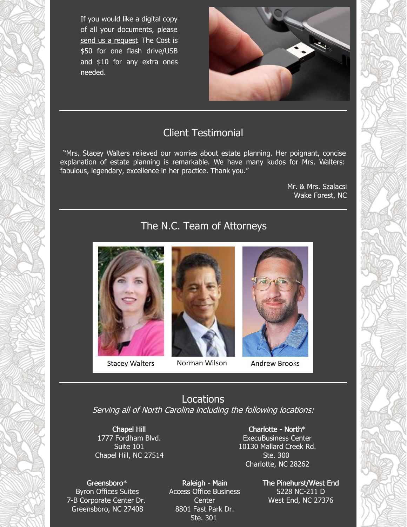If you would like a digital copy of all your documents, please send us a [request](mailto:crystal.mujica@twestateplanning.law). The Cost is \$50 for one flash drive/USB and \$10 for any extra ones needed.



#### Client Testimonial

"Mrs. Stacey Walters relieved our worries about estate planning. Her poignant, concise explanation of estate planning is remarkable. We have many kudos for Mrs. Walters: fabulous, legendary, excellence in her practice. Thank you."

> Mr. & Mrs. Szalacsi Wake Forest, NC

## The N.C. Team of Attorneys



**Stacey Walters** 



#### Norman Wilson



**Andrew Brooks** 

Locations Serving all of North Carolina including the following locations:

Chapel Hill 1777 Fordham Blvd. Suite 101 Chapel Hill, NC 27514

Charlotte - North\* ExecuBusiness Center 10130 Mallard Creek Rd. Ste. 300 Charlotte, NC 28262

Greensboro\* Byron Offices Suites 7-B Corporate Center Dr. Greensboro, NC 27408

Raleigh - Main Access Office Business Center 8801 Fast Park Dr. Ste. 301

The Pinehurst/West End 5228 NC-211 D West End, NC 27376